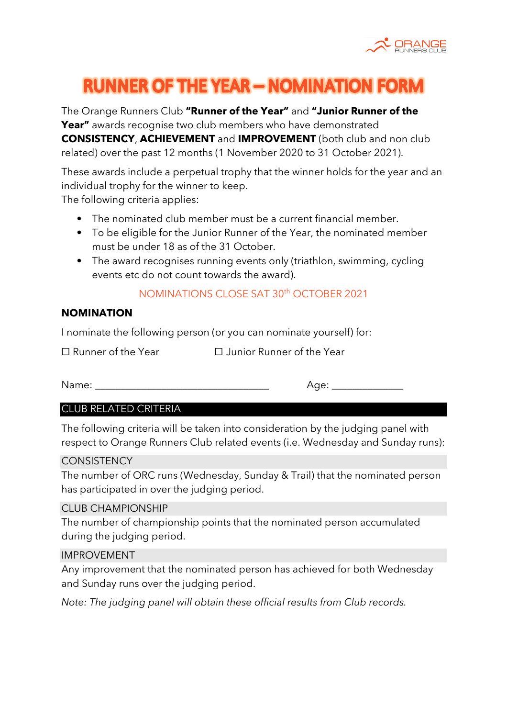

# **RUNNER OF THE YEAR - NOMINATION FORE**

The Orange Runners Club **"Runner of the Year"** and **"Junior Runner of the Year"** awards recognise two club members who have demonstrated **CONSISTENCY**, **ACHIEVEMENT** and **IMPROVEMENT** (both club and non club related) over the past 12 months (1 November 2020 to 31 October 2021).

These awards include a perpetual trophy that the winner holds for the year and an individual trophy for the winner to keep.

The following criteria applies:

- The nominated club member must be a current financial member.
- To be eligible for the Junior Runner of the Year, the nominated member must be under 18 as of the 31 October.
- The award recognises running events only (triathlon, swimming, cycling events etc do not count towards the award).

# NOMINATIONS CLOSE SAT 30th OCTOBER 2021

## **NOMINATION**

I nominate the following person (or you can nominate yourself) for:

☐ Runner of the Year ☐ Junior Runner of the Year

Name: \_\_\_\_\_\_\_\_\_\_\_\_\_\_\_\_\_\_\_\_\_\_\_\_\_\_\_\_\_\_\_\_\_\_ Age: \_\_\_\_\_\_\_\_\_\_\_\_\_\_

## CLUB RELATED CRITERIA

The following criteria will be taken into consideration by the judging panel with respect to Orange Runners Club related events (i.e. Wednesday and Sunday runs):

#### **CONSISTENCY**

The number of ORC runs (Wednesday, Sunday & Trail) that the nominated person has participated in over the judging period.

#### CLUB CHAMPIONSHIP

The number of championship points that the nominated person accumulated during the judging period.

#### IMPROVEMENT

Any improvement that the nominated person has achieved for both Wednesday and Sunday runs over the judging period.

*Note: The judging panel will obtain these official results from Club records.*